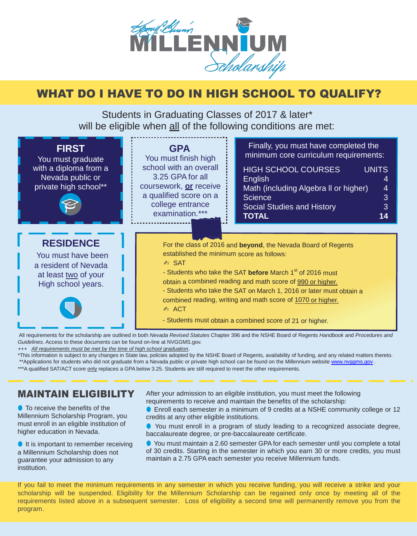

# WHAT DO I HAVE TO DO IN HIGH SCHOOL TO QUALIFY?

Students in Graduating Classes of 2017 & later\* will be eligible when all of the following conditions are met:



 All requirements for the scholarship are outlined in both *Nevada Revised Statutes* Chapter 396 and the NSHE Board of Regents *Handbook* and *Procedures and Guidelines*. Access to these documents can be found on-line at NVGGMS.gov.

*+++ All requirements must be met by the time of high school graduation*.

\*This information is subject to any changes in State law, policies adopted by the NSHE Board of Regents, availability of funding, and any related matters thereto. \*\*Applications for students who did not graduate from a Nevada public or private high school can be found on the Millennium websit[e www.nvggms.gov](http://www.nvggms.gov/).

\*\*\*A qualified SAT/ACT score only replaces a GPA below 3.25. Students are still required to meet the other requirements.

### MAINTAIN ELIGIBILITY

**•** To receive the benefits of the Millennium Scholarship Program, you must enroll in an eligible institution of higher education in Nevada.

● It is important to remember receiving a Millennium Scholarship does not guarantee your admission to any institution.

After your admission to an eligible institution, you must meet the following requirements to receive and maintain the benefits of the scholarship:

● Enroll each semester in a minimum of 9 credits at a NSHE community college or 12 credits at any other eligible institutions.

You must enroll in a program of study leading to a recognized associate degree, baccalaureate degree, or pre-baccalaureate certificate.

● You must maintain a 2.60 semester GPA for each semester until you complete a total of 30 credits. Starting in the semester in which you earn 30 or more credits, you must maintain a 2.75 GPA each semester you receive Millennium funds.

If you fail to meet the minimum requirements in any semester in which you receive funding, you will receive a strike and your scholarship will be suspended. Eligibility for the Millennium Scholarship can be regained only once by meeting all of the requirements listed above in a subsequent semester. Loss of eligibility a second time will permanently remove you from the program.